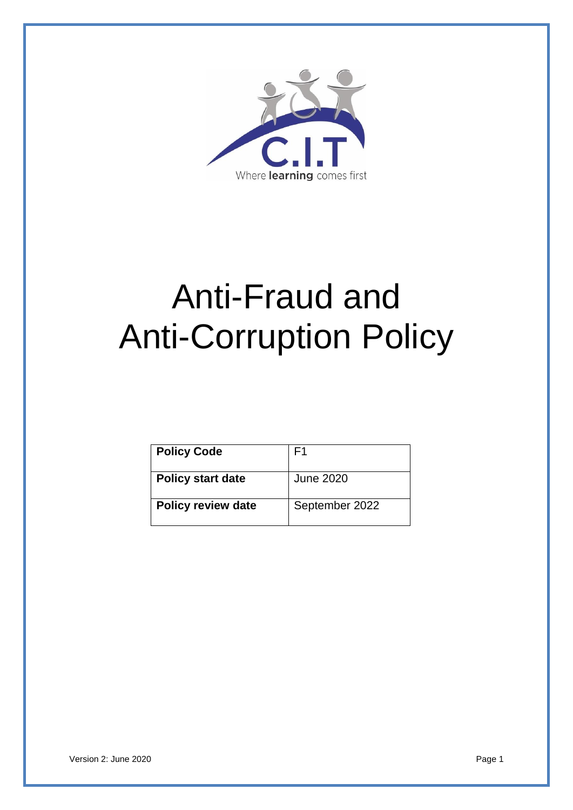

# Anti-Fraud and Anti-Corruption Policy

| <b>Policy Code</b>        | F1               |
|---------------------------|------------------|
| <b>Policy start date</b>  | <b>June 2020</b> |
| <b>Policy review date</b> | September 2022   |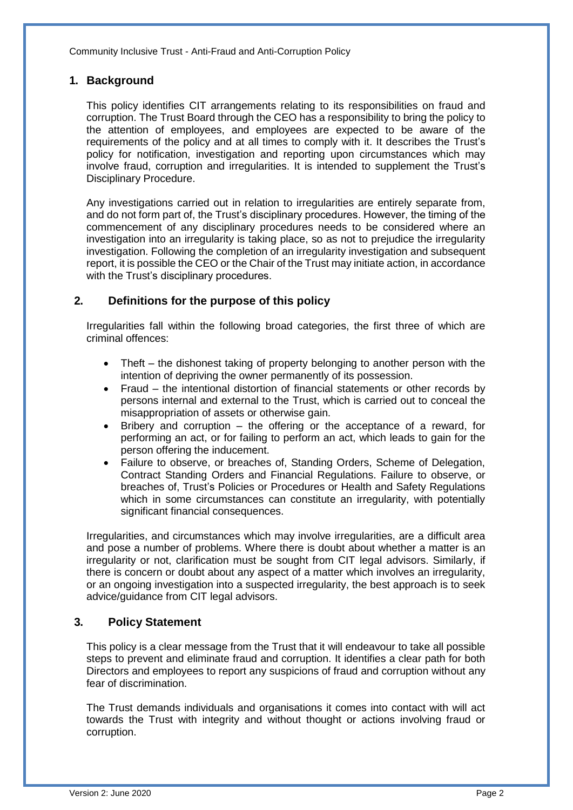# **1. Background**

This policy identifies CIT arrangements relating to its responsibilities on fraud and corruption. The Trust Board through the CEO has a responsibility to bring the policy to the attention of employees, and employees are expected to be aware of the requirements of the policy and at all times to comply with it. It describes the Trust's policy for notification, investigation and reporting upon circumstances which may involve fraud, corruption and irregularities. It is intended to supplement the Trust's Disciplinary Procedure.

Any investigations carried out in relation to irregularities are entirely separate from, and do not form part of, the Trust's disciplinary procedures. However, the timing of the commencement of any disciplinary procedures needs to be considered where an investigation into an irregularity is taking place, so as not to prejudice the irregularity investigation. Following the completion of an irregularity investigation and subsequent report, it is possible the CEO or the Chair of the Trust may initiate action, in accordance with the Trust's disciplinary procedures.

# **2. Definitions for the purpose of this policy**

Irregularities fall within the following broad categories, the first three of which are criminal offences:

- Theft the dishonest taking of property belonging to another person with the intention of depriving the owner permanently of its possession.
- Fraud the intentional distortion of financial statements or other records by persons internal and external to the Trust, which is carried out to conceal the misappropriation of assets or otherwise gain.
- Bribery and corruption the offering or the acceptance of a reward, for performing an act, or for failing to perform an act, which leads to gain for the person offering the inducement.
- Failure to observe, or breaches of, Standing Orders, Scheme of Delegation, Contract Standing Orders and Financial Regulations. Failure to observe, or breaches of, Trust's Policies or Procedures or Health and Safety Regulations which in some circumstances can constitute an irregularity, with potentially significant financial consequences.

Irregularities, and circumstances which may involve irregularities, are a difficult area and pose a number of problems. Where there is doubt about whether a matter is an irregularity or not, clarification must be sought from CIT legal advisors. Similarly, if there is concern or doubt about any aspect of a matter which involves an irregularity, or an ongoing investigation into a suspected irregularity, the best approach is to seek advice/guidance from CIT legal advisors.

# **3. Policy Statement**

This policy is a clear message from the Trust that it will endeavour to take all possible steps to prevent and eliminate fraud and corruption. It identifies a clear path for both Directors and employees to report any suspicions of fraud and corruption without any fear of discrimination.

The Trust demands individuals and organisations it comes into contact with will act towards the Trust with integrity and without thought or actions involving fraud or corruption.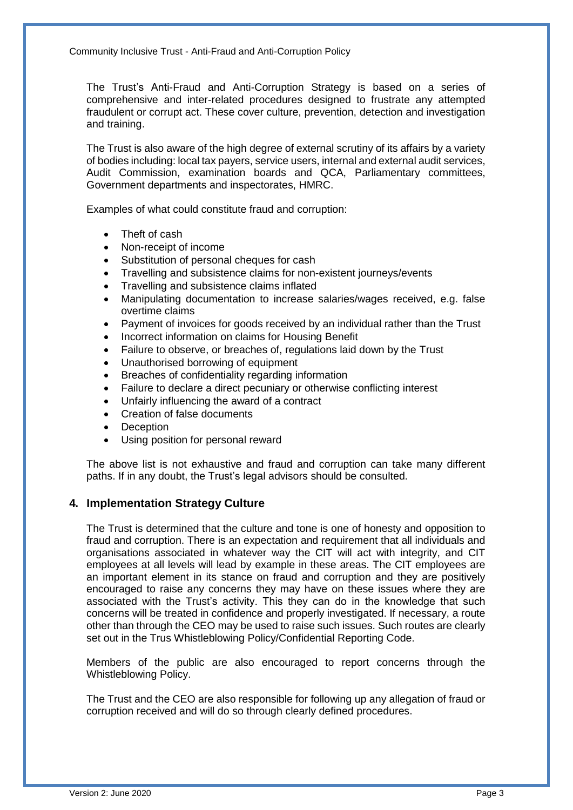The Trust's Anti-Fraud and Anti-Corruption Strategy is based on a series of comprehensive and inter-related procedures designed to frustrate any attempted fraudulent or corrupt act. These cover culture, prevention, detection and investigation and training.

The Trust is also aware of the high degree of external scrutiny of its affairs by a variety of bodies including: local tax payers, service users, internal and external audit services, Audit Commission, examination boards and QCA, Parliamentary committees, Government departments and inspectorates, HMRC.

Examples of what could constitute fraud and corruption:

- Theft of cash
- Non-receipt of income
- Substitution of personal cheques for cash
- Travelling and subsistence claims for non-existent journeys/events
- Travelling and subsistence claims inflated
- Manipulating documentation to increase salaries/wages received, e.g. false overtime claims
- Payment of invoices for goods received by an individual rather than the Trust
- Incorrect information on claims for Housing Benefit
- Failure to observe, or breaches of, regulations laid down by the Trust
- Unauthorised borrowing of equipment
- Breaches of confidentiality regarding information
- Failure to declare a direct pecuniary or otherwise conflicting interest
- Unfairly influencing the award of a contract
- Creation of false documents
- **Deception**
- Using position for personal reward

The above list is not exhaustive and fraud and corruption can take many different paths. If in any doubt, the Trust's legal advisors should be consulted.

#### **4. Implementation Strategy Culture**

The Trust is determined that the culture and tone is one of honesty and opposition to fraud and corruption. There is an expectation and requirement that all individuals and organisations associated in whatever way the CIT will act with integrity, and CIT employees at all levels will lead by example in these areas. The CIT employees are an important element in its stance on fraud and corruption and they are positively encouraged to raise any concerns they may have on these issues where they are associated with the Trust's activity. This they can do in the knowledge that such concerns will be treated in confidence and properly investigated. If necessary, a route other than through the CEO may be used to raise such issues. Such routes are clearly set out in the Trus Whistleblowing Policy/Confidential Reporting Code.

Members of the public are also encouraged to report concerns through the Whistleblowing Policy.

The Trust and the CEO are also responsible for following up any allegation of fraud or corruption received and will do so through clearly defined procedures.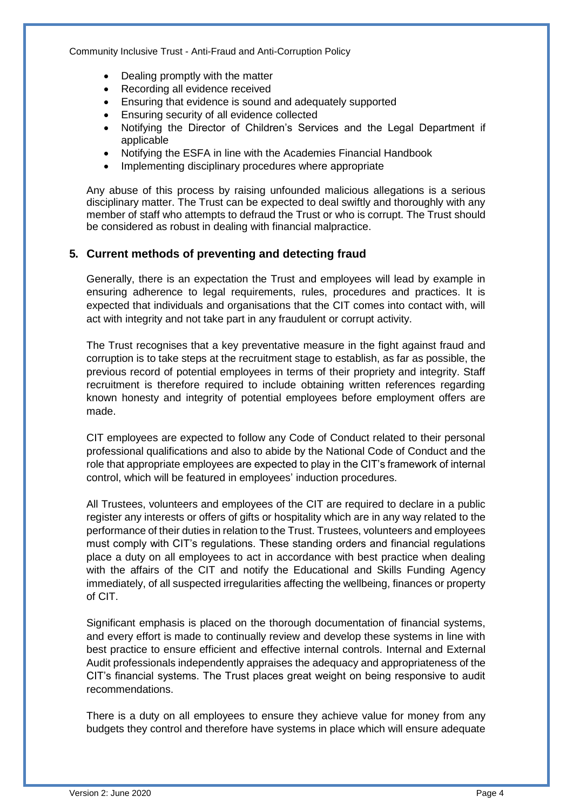- Dealing promptly with the matter
- Recording all evidence received
- Ensuring that evidence is sound and adequately supported
- **Ensuring security of all evidence collected**
- Notifying the Director of Children's Services and the Legal Department if applicable
- Notifying the ESFA in line with the Academies Financial Handbook
- Implementing disciplinary procedures where appropriate

Any abuse of this process by raising unfounded malicious allegations is a serious disciplinary matter. The Trust can be expected to deal swiftly and thoroughly with any member of staff who attempts to defraud the Trust or who is corrupt. The Trust should be considered as robust in dealing with financial malpractice.

# **5. Current methods of preventing and detecting fraud**

Generally, there is an expectation the Trust and employees will lead by example in ensuring adherence to legal requirements, rules, procedures and practices. It is expected that individuals and organisations that the CIT comes into contact with, will act with integrity and not take part in any fraudulent or corrupt activity.

The Trust recognises that a key preventative measure in the fight against fraud and corruption is to take steps at the recruitment stage to establish, as far as possible, the previous record of potential employees in terms of their propriety and integrity. Staff recruitment is therefore required to include obtaining written references regarding known honesty and integrity of potential employees before employment offers are made.

CIT employees are expected to follow any Code of Conduct related to their personal professional qualifications and also to abide by the National Code of Conduct and the role that appropriate employees are expected to play in the CIT's framework of internal control, which will be featured in employees' induction procedures.

All Trustees, volunteers and employees of the CIT are required to declare in a public register any interests or offers of gifts or hospitality which are in any way related to the performance of their duties in relation to the Trust. Trustees, volunteers and employees must comply with CIT's regulations. These standing orders and financial regulations place a duty on all employees to act in accordance with best practice when dealing with the affairs of the CIT and notify the Educational and Skills Funding Agency immediately, of all suspected irregularities affecting the wellbeing, finances or property of CIT.

Significant emphasis is placed on the thorough documentation of financial systems, and every effort is made to continually review and develop these systems in line with best practice to ensure efficient and effective internal controls. Internal and External Audit professionals independently appraises the adequacy and appropriateness of the CIT's financial systems. The Trust places great weight on being responsive to audit recommendations.

There is a duty on all employees to ensure they achieve value for money from any budgets they control and therefore have systems in place which will ensure adequate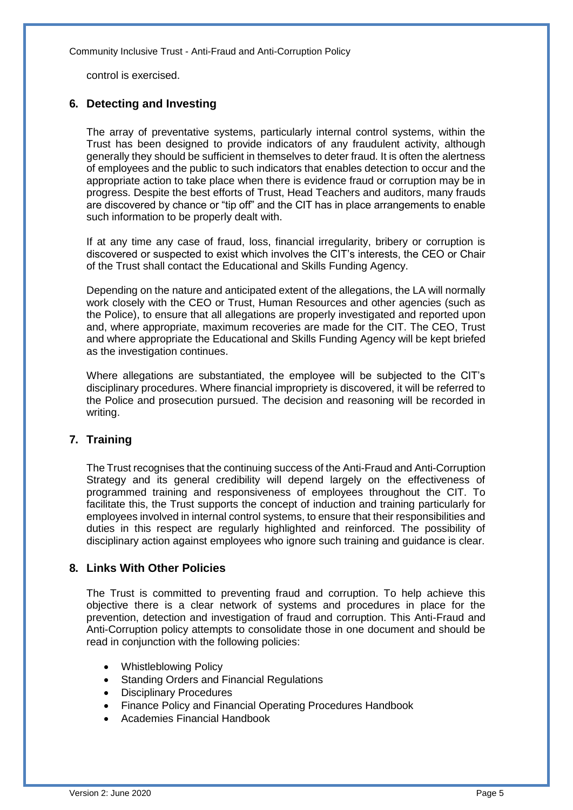control is exercised.

#### **6. Detecting and Investing**

The array of preventative systems, particularly internal control systems, within the Trust has been designed to provide indicators of any fraudulent activity, although generally they should be sufficient in themselves to deter fraud. It is often the alertness of employees and the public to such indicators that enables detection to occur and the appropriate action to take place when there is evidence fraud or corruption may be in progress. Despite the best efforts of Trust, Head Teachers and auditors, many frauds are discovered by chance or "tip off" and the CIT has in place arrangements to enable such information to be properly dealt with.

If at any time any case of fraud, loss, financial irregularity, bribery or corruption is discovered or suspected to exist which involves the CIT's interests, the CEO or Chair of the Trust shall contact the Educational and Skills Funding Agency.

Depending on the nature and anticipated extent of the allegations, the LA will normally work closely with the CEO or Trust, Human Resources and other agencies (such as the Police), to ensure that all allegations are properly investigated and reported upon and, where appropriate, maximum recoveries are made for the CIT. The CEO, Trust and where appropriate the Educational and Skills Funding Agency will be kept briefed as the investigation continues.

Where allegations are substantiated, the employee will be subjected to the CIT's disciplinary procedures. Where financial impropriety is discovered, it will be referred to the Police and prosecution pursued. The decision and reasoning will be recorded in writing.

#### **7. Training**

The Trust recognises that the continuing success of the Anti-Fraud and Anti-Corruption Strategy and its general credibility will depend largely on the effectiveness of programmed training and responsiveness of employees throughout the CIT. To facilitate this, the Trust supports the concept of induction and training particularly for employees involved in internal control systems, to ensure that their responsibilities and duties in this respect are regularly highlighted and reinforced. The possibility of disciplinary action against employees who ignore such training and guidance is clear.

#### **8. Links With Other Policies**

The Trust is committed to preventing fraud and corruption. To help achieve this objective there is a clear network of systems and procedures in place for the prevention, detection and investigation of fraud and corruption. This Anti-Fraud and Anti-Corruption policy attempts to consolidate those in one document and should be read in conjunction with the following policies:

- Whistleblowing Policy
- Standing Orders and Financial Regulations
- Disciplinary Procedures
- Finance Policy and Financial Operating Procedures Handbook
- Academies Financial Handbook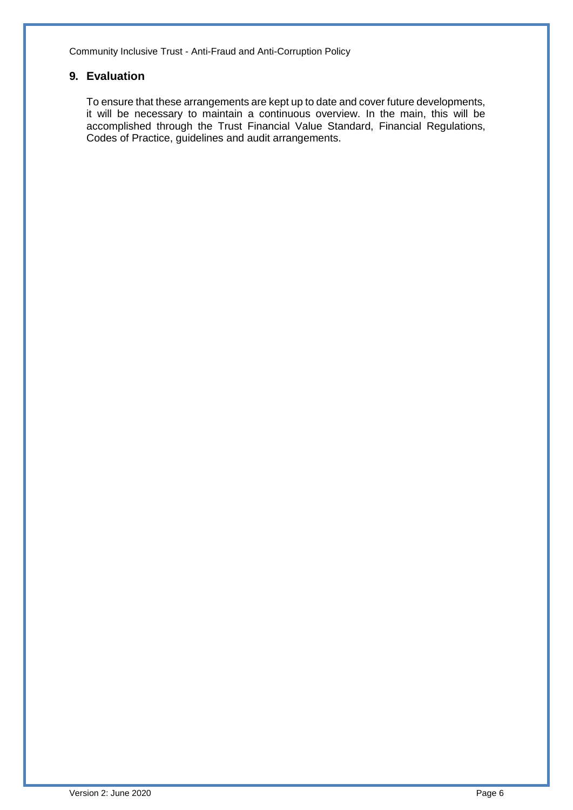# **9. Evaluation**

To ensure that these arrangements are kept up to date and cover future developments, it will be necessary to maintain a continuous overview. In the main, this will be accomplished through the Trust Financial Value Standard, Financial Regulations, Codes of Practice, guidelines and audit arrangements.